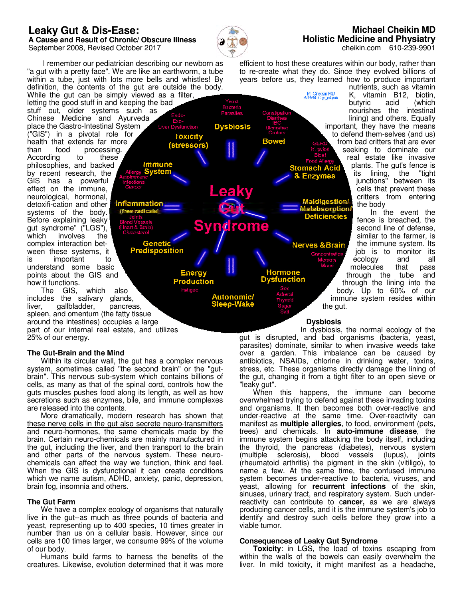# **Leaky Gut & Dis-Ease:**

**A Cause and Result of Chronic/ Obscure Illness** September 2008, Revised October 2017



**Dysbiosis** 

**Syndrome** 

Autonomic/

**Bowel** 

<u> Hormor</u>

**Toxicity** 

(stressors)

**Energy** 

**Production** 

<u>Immune</u>

Genetic<br>edisposition

## **Michael Cheikin MD Holistic Medicine and Physiatry** cheikin.com 610-239-9901

 I remember our pediatrician describing our newborn as "a gut with a pretty face". We are like an earthworm, a tube within a tube, just with lots more bells and whistles! By definition, the contents of the gut are outside the body. While the gut can be simply viewed as a filter,

letting the good stuff in and keeping the bad stuff out, older systems such as Chinese Medicine and Ayurveda place the Gastro-Intestinal System ("GIS") in a pivotal role for health that extends far more<br>than food processing. than food processing.<br>According to these According to these philosophies, and backed by recent research, the GIS has a powerful effect on the immune, neurological, hormonal, Inflammation detoxifi-cation and other systems of the body. ifree radicals Before explaining leaky gut syndrome" ("LGS"),<br>which involves the involves complex interaction between these systems, it is important to understand some basic points about the GIS and how it functions.

 The GIS, which also includes the salivary glands, liver, gallbladder, pancreas, spleen, and omentum (the fatty tissue around the intestines) occupies a large part of our internal real estate, and utilizes 25% of our energy.

# **The Gut-Brain and the Mind**

 Within its circular wall, the gut has a complex nervous system, sometimes called "the second brain" or the "gutbrain". This nervous sub-system which contains billions of cells, as many as that of the spinal cord, controls how the guts muscles pushes food along its length, as well as how secretions such as enzymes, bile, and immune complexes are released into the contents.

 More dramatically, modern research has shown that these nerve cells in the gut also secrete neuro-transmitters and neuro-hormones, the same chemicals made by the brain. Certain neuro-chemicals are mainly manufactured in the gut, including the liver, and then transport to the brain and other parts of the nervous system. These neurochemicals can affect the way we function, think and feel. When the GIS is dysfunctional it can create conditions which we name autism, ADHD, anxiety, panic, depression, brain fog, insomnia and others.

## **The Gut Farm**

 We have a complex ecology of organisms that naturally live in the gut--as much as three pounds of bacteria and yeast, representing up to 400 species, 10 times greater in number than us on a cellular basis. However, since our cells are 100 times larger, we consume 99% of the volume of our body.

 Humans build farms to harness the benefits of the creatures. Likewise, evolution determined that it was more

efficient to host these creatures within our body, rather than to re-create what they do. Since they evolved billions of years before us, they learned how to produce important nutrients, such as vitamin

M. Cheikin MD<br>6/18/08-4 Igs\_ad.pub

K, vitamin B12, biotin, butyric acid (which nourishes the intestinal lining) and others. Equally important, they have the means to defend them-selves (and us) from bad critters that are ever seeking to dominate our real estate like invasive plants. The gut's fence is<br>its lining, the "tight its lining, the junctions" between its cells that prevent these critters from entering igestion/ the body absorption/

 In the event the **Deficiencies** fence is breached, the second line of defense, similar to the farmer, is the immune system. Its Nerves & Brain job is to monitor its ecology and all molecules that pass through the tube and through the lining into the body. Up to 60% of our immune system resides within the gut.

# **Dysbiosis**

 In dysbiosis, the normal ecology of the gut is disrupted, and bad organisms (bacteria, yeast, parasites) dominate, similar to when invasive weeds take over a garden. This imbalance can be caused by antibiotics, NSAIDs, chlorine in drinking water, toxins, stress, etc. These organisms directly damage the lining of the gut, changing it from a tight filter to an open sieve or "leaky gut".

 When this happens, the immune can become overwhelmed trying to defend against these invading toxins and organisms. It then becomes both over-reactive and under-reactive at the same time. Over-reactivity can manifest as **multiple allergies**, to food, environment (pets, trees) and chemicals. In **auto-immune disease**, the immune system begins attacking the body itself, including the thyroid, the pancreas (diabetes), nervous system (multiple sclerosis), blood vessels (lupus), joints (rheumatoid arthritis) the pigment in the skin (vitiligo), to name a few. At the same time, the confused immune system becomes under-reactive to bacteria, viruses, and yeast, allowing for **recurrent infections** of the skin, sinuses, urinary tract, and respiratory system. Such underreactivity can contribute to c**ancer,** as we are always producing cancer cells, and it is the immune system's job to identify and destroy such cells before they grow into a viable tumor.

## **Consequences of Leaky Gut Syndrome**

 **Toxicity**: in LGS, the load of toxins escaping from within the walls of the bowels can easily overwhelm the liver. In mild toxicity, it might manifest as a headache,